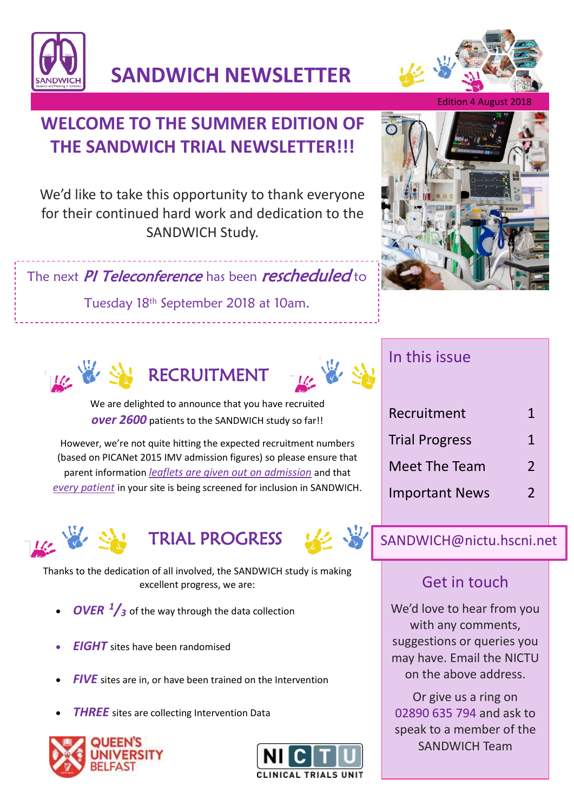

**SANDWICH NEWSLETTER**

# **WELCOME TO THE SUMMER EDITION OF THE SANDWICH TRIAL NEWSLETTER!!!**

We'd like to take this opportunity to thank everyone for their continued hard work and dedication to the SANDWICH Study.

The next PI Teleconference has been rescheduled to

Tuesday 18th September 2018 at 10am.

Teleconference: No. : 0800 917 1950 PIN: 0800 917 1950 PIN: 95746575





We are delighted to announce that you have recruited *over 2600* patients to the SANDWICH study so far!!

However, we're not quite hitting the expected recruitment numbers (based on PICANet 2015 IMV admission figures) so please ensure that parent information *leaflets are given out on admission* and that *every patient* in your site is being screened for inclusion in SANDWICH.







Thanks to the dedication of all involved, the SANDWICH study is making excellent progress, we are:

- *OVER <sup>1</sup>/<sup>3</sup>* of the way through the data collection
- *EIGHT* sites have been randomised
- *FIVE* sites are in, or have been trained on the Intervention
- **THREE** sites are collecting Intervention Data









### In this issue

| Recruitment           | 1              |
|-----------------------|----------------|
| <b>Trial Progress</b> | 1              |
| Meet The Team         | $\mathfrak{D}$ |
| <b>Important News</b> | 2              |

### SANDWICH@nictu.hscni.net

## Get in touch

We'd love to hear from you with any comments, suggestions or queries you may have. Email the NICTU on the above address.

Or give us a ring on 02890 635 794 and ask to speak to a member of the SANDWICH Team